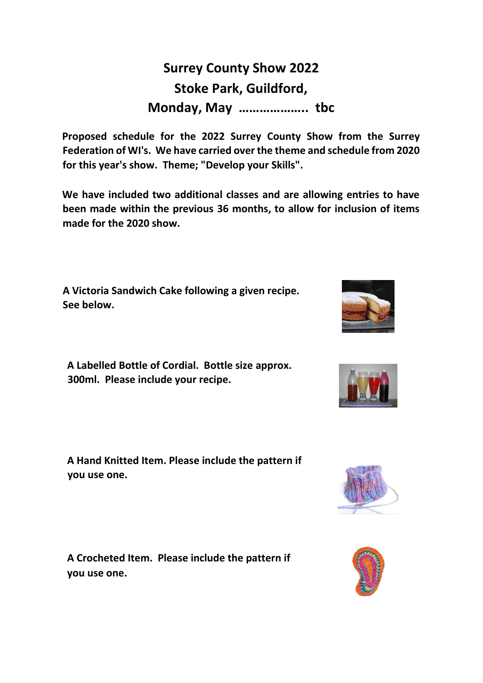## **Surrey County Show 2022 Stoke Park, Guildford, Monday, May ……………….. tbc**

**Proposed schedule for the 2022 Surrey County Show from the Surrey Federation of WI's. We have carried over the theme and schedule from 2020 for this year's show. Theme; "Develop your Skills".** 

**We have included two additional classes and are allowing entries to have been made within the previous 36 months, to allow for inclusion of items made for the 2020 show.**

**A Victoria Sandwich Cake following a given recipe. See below.**

**A Labelled Bottle of Cordial. Bottle size approx. 300ml. Please include your recipe.** 

**A Hand Knitted Item. Please include the pattern if you use one.** 

**A Crocheted Item. Please include the pattern if you use one.**